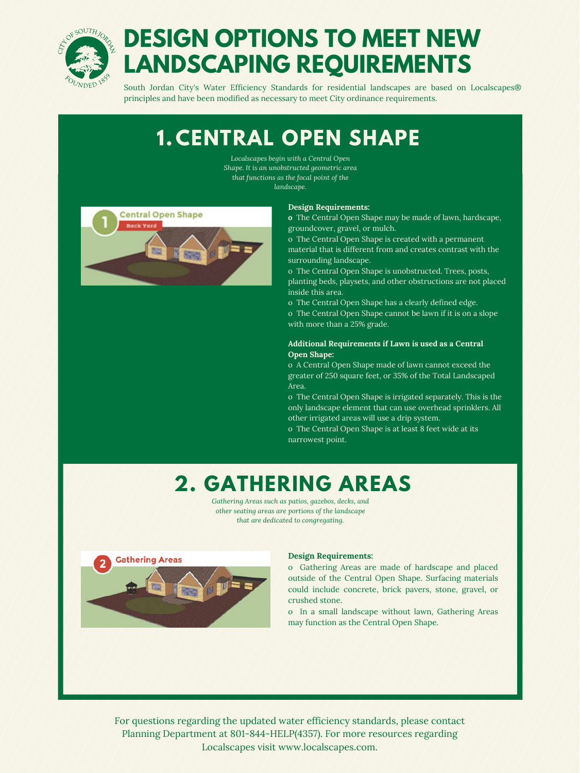

# **DESIGN OPTIONS TO MEET NEW LANDSCAPING REQUIREMENTS**

South Jordan City's Water Efficiency Standards for residential landscapes are based on Localscapes® principles and have been modified as necessary to meet City ordinance requirements.

#### **Design Requirements:**

o Gathering Areas are made of hardscape and placed outside of the Central Open Shape. Surfacing materials could include concrete, brick pavers, stone, gravel, or crushed stone.

o In a small landscape without lawn, Gathering Areas may function as the Central Open Shape.

### **2. GATHERING AREAS**

*Localscapes begin with a Central Open Shape. It is an unobstructed geometric area that functions as the focal point of the landscape.*



### **1. CENTRAL OPEN SHAPE**

#### **Design Requirements:**

**o** The Central Open Shape may be made of lawn, hardscape, groundcover, gravel, or mulch.

o The Central Open Shape is created with a permanent material that is different from and creates contrast with the surrounding landscape.

o The Central Open Shape is unobstructed. Trees, posts, planting beds, playsets, and other obstructions are not placed inside this area.

- o The Central Open Shape has a clearly defined edge.
- o The Central Open Shape cannot be lawn if it is on a slope with more than a 25% grade.

### **Additional Requirements if Lawn is used as a Central Open Shape:**

o A Central Open Shape made of lawn cannot exceed the greater of 250 square feet, or 35% of the Total Landscaped Area.

o The Central Open Shape is irrigated separately. This is the

only landscape element that can use overhead sprinklers. All other irrigated areas will use a drip system.

o The Central Open Shape is at least 8 feet wide at its narrowest point.

*Gathering Areas such as patios, gazebos, decks, and other seating areas are portions of the landscape that are dedicated to congregating.*



For questions regarding the updated water efficiency standards, please contact Planning Department at 801-844-HELP(4357). For more resources regarding Localscapes visit www.localscapes.com.